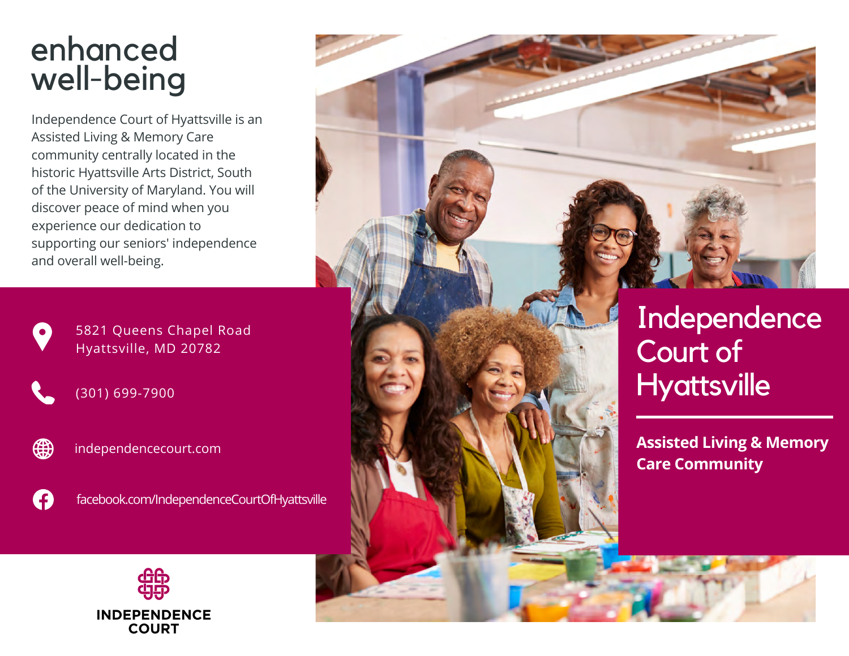# enhanced well-being

Independence Court of Hyattsville is an Assisted Living & Memory Care community centrally located in the historic Hyattsville Arts District, South of the University of Maryland. You will discover peace of mind when you experience our dedication to supporting our seniors' independence and overall well-being.



[5821 Queens Chapel Road](https://www.google.com/maps/place/5821+Queens+Chapel+Road+Hyattsville+MD+20782) [Hyattsville, MD 20782](https://www.google.com/maps/place/5821+Queens+Chapel+Road+Hyattsville+MD+20782)



∰

(301) 699-7900

independencecourt.com

facebook.com/IndependenceCourtOfHyattsville



# Independence Court of **Hyattsville**

**Assisted Living & Memory Care Community**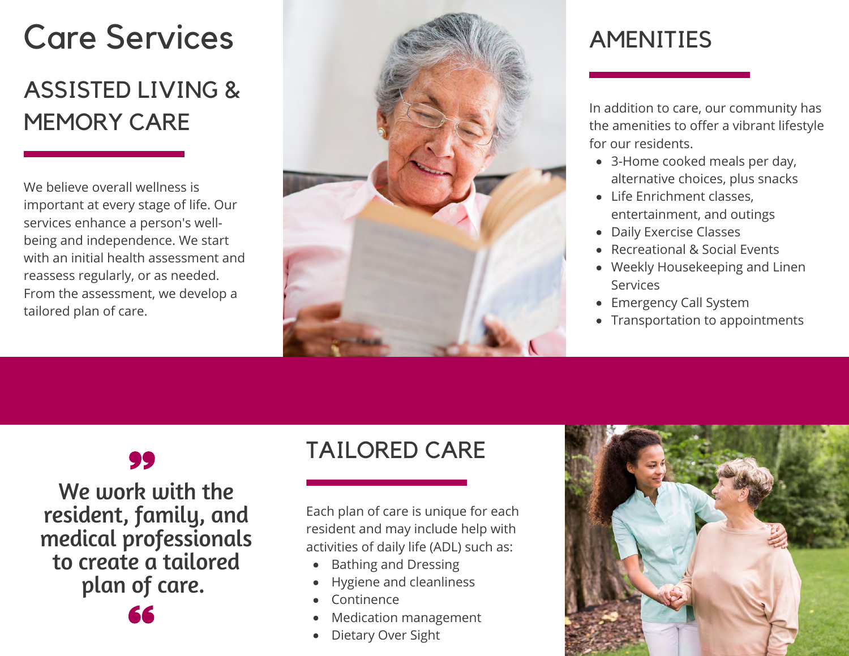# Care Services

### ASSISTED LIVING & MEMORY CARE

We believe overall wellness is important at every stage of life. Our services enhance a person's wellbeing and independence. We start with an initial health assessment and reassess regularly, or as needed. From the assessment, we develop a tailored plan of care.



### AMENITIES

In addition to care, our community has the amenities to offer a vibrant lifestyle for our residents.

- 3-Home cooked meals per day, alternative choices, plus snacks
- Life Enrichment classes. entertainment, and outings
- Daily Exercise Classes
- Recreational & Social Events
- Weekly Housekeeping and Linen Services
- Emergency Call System
- Transportation to appointments

#### 99

We work with the resident, family, and medical professionals to create a tailored plan of care.

#### TAILORED CARE

Each plan of care is unique for each resident and may include help with activities of daily life (ADL) such as:

- Bathing and Dressing
- Hygiene and cleanliness
- Continence
- Medication management
- Dietary Over Sight